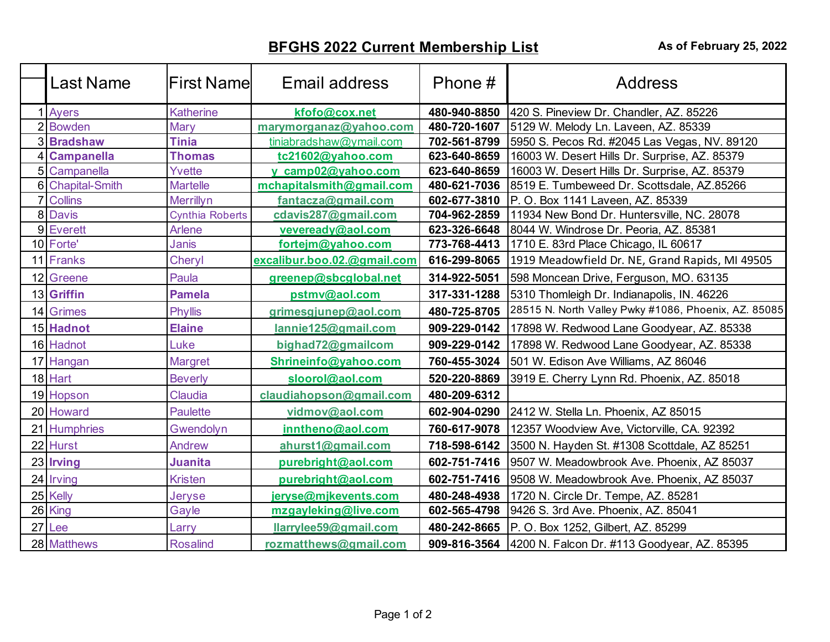| Last Name        | lFirst Namel           | Email address               | Phone #      | <b>Address</b>                                           |
|------------------|------------------------|-----------------------------|--------------|----------------------------------------------------------|
| 1 Ayers          | <b>Katherine</b>       | kfofo@cox.net               | 480-940-8850 | 420 S. Pineview Dr. Chandler, AZ. 85226                  |
| 2 Bowden         | Mary                   | marymorganaz@yahoo.com      | 480-720-1607 | 5129 W. Melody Ln. Laveen, AZ. 85339                     |
| 3 Bradshaw       | <b>Tinia</b>           | tiniabradshaw@ymail.com     | 702-561-8799 | 5950 S. Pecos Rd. #2045 Las Vegas, NV. 89120             |
| 4 Campanella     | <b>Thomas</b>          | tc21602@yahoo.com           | 623-640-8659 | 16003 W. Desert Hills Dr. Surprise, AZ. 85379            |
| 5 Campanella     | Yvette                 | y camp02@yahoo.com          | 623-640-8659 | 16003 W. Desert Hills Dr. Surprise, AZ. 85379            |
| 6 Chapital-Smith | <b>Martelle</b>        | mchapitalsmith@gmail.com    | 480-621-7036 | 8519 E. Tumbeweed Dr. Scottsdale, AZ.85266               |
| <b>7</b> Collins | <b>Merrillyn</b>       | fantacza@gmail.com          | 602-677-3810 | P. O. Box 1141 Laveen, AZ. 85339                         |
| 8 Davis          | <b>Cynthia Roberts</b> | cdavis287@gmail.com         | 704-962-2859 | 11934 New Bond Dr. Huntersville, NC. 28078               |
| 9 Everett        | Arlene                 | veveready@aol.com           | 623-326-6648 | 8044 W. Windrose Dr. Peoria, AZ. 85381                   |
| 10 Forte'        | Janis                  | fortejm@yahoo.com           | 773-768-4413 | 1710 E. 83rd Place Chicago, IL 60617                     |
| 11 Franks        | Cheryl                 | excalibur.boo.02.@gmail.com | 616-299-8065 | 1919 Meadowfield Dr. NE, Grand Rapids, MI 49505          |
| 12 Greene        | Paula                  | greenep@sbcglobal.net       | 314-922-5051 | 598 Moncean Drive, Ferguson, MO. 63135                   |
| 13 Griffin       | <b>Pamela</b>          | pstmv@aol.com               | 317-331-1288 | 5310 Thomleigh Dr. Indianapolis, IN. 46226               |
| 14 Grimes        | <b>Phyllis</b>         | grimesgjunep@aol.com        | 480-725-8705 | 28515 N. North Valley Pwky #1086, Phoenix, AZ. 85085     |
| 15 Hadnot        | <b>Elaine</b>          | lannie125@gmail.com         | 909-229-0142 | 17898 W. Redwood Lane Goodyear, AZ. 85338                |
| 16 Hadnot        | Luke                   | bighad72@gmailcom           | 909-229-0142 | 17898 W. Redwood Lane Goodyear, AZ. 85338                |
| 17 Hangan        | <b>Margret</b>         | Shrineinfo@yahoo.com        | 760-455-3024 | 501 W. Edison Ave Williams, AZ 86046                     |
| 18 Hart          | <b>Beverly</b>         | sloorol@aol.com             | 520-220-8869 | 3919 E. Cherry Lynn Rd. Phoenix, AZ. 85018               |
| 19 Hopson        | Claudia                | claudiahopson@gmail.com     | 480-209-6312 |                                                          |
| 20 Howard        | <b>Paulette</b>        | vidmov@aol.com              | 602-904-0290 | 2412 W. Stella Ln. Phoenix, AZ 85015                     |
| 21 Humphries     | Gwendolyn              | inntheno@aol.com            | 760-617-9078 | 12357 Woodview Ave, Victorville, CA. 92392               |
| 22 Hurst         | <b>Andrew</b>          | ahurst1@gmail.com           | 718-598-6142 | 3500 N. Hayden St. #1308 Scottdale, AZ 85251             |
| 23 Irving        | <b>Juanita</b>         | purebright@aol.com          | 602-751-7416 | 9507 W. Meadowbrook Ave. Phoenix, AZ 85037               |
| 24 Irving        | <b>Kristen</b>         | purebright@aol.com          | 602-751-7416 | 9508 W. Meadowbrook Ave. Phoenix, AZ 85037               |
| 25 Kelly         | Jeryse                 | jeryse@mjkevents.com        | 480-248-4938 | 1720 N. Circle Dr. Tempe, AZ. 85281                      |
| 26 King          | Gayle                  | mzgayleking@live.com        | 602-565-4798 | 9426 S. 3rd Ave. Phoenix, AZ. 85041                      |
| 27 Lee           | _arry                  | llarrylee59@gmail.com       | 480-242-8665 | P. O. Box 1252, Gilbert, AZ. 85299                       |
| 28 Matthews      | <b>Rosalind</b>        | rozmatthews@gmail.com       |              | 909-816-3564 4200 N. Falcon Dr. #113 Goodyear, AZ. 85395 |